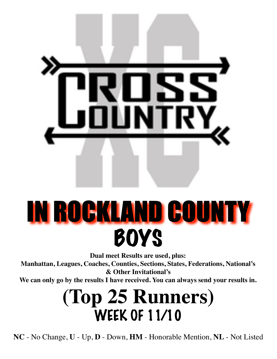

# IN ROCKLAND COUNTY **BOYS**

**Dual meet Results are used, plus:**

**Manhattan, Leagues, Coaches, Counties, Sections, States, Federations, National's & Other Invitational's**

**We can only go by the results I have received. You can always send your results in.**

### **(Top 25 Runners)** WEEK OF 11/10

**NC** - No Change, **U** - Up, **D** - Down, **HM** - Honorable Mention, **NL** - Not Listed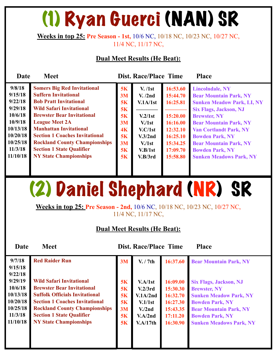## (1) Ryan Guerci (NAN) SR

#### **Weeks in top 25: Pre Season - 1st,** 10/6 NC, 10/18 NC, 10/23 NC, 10/27 NC, 11/4 NC, 11/17 NC,

#### **Dual Meet Results (He Beat):**

| <b>Date</b>                                                                                                              | <b>Meet</b>                                                                                                                                                                                                                                                                                                                                                                                |                                                                | <b>Dist. Race/Place Time</b>                                                                                                   |                                                                                                                      | <b>Place</b>                                                                                                                                                                                                                                                                                                                                  |
|--------------------------------------------------------------------------------------------------------------------------|--------------------------------------------------------------------------------------------------------------------------------------------------------------------------------------------------------------------------------------------------------------------------------------------------------------------------------------------------------------------------------------------|----------------------------------------------------------------|--------------------------------------------------------------------------------------------------------------------------------|----------------------------------------------------------------------------------------------------------------------|-----------------------------------------------------------------------------------------------------------------------------------------------------------------------------------------------------------------------------------------------------------------------------------------------------------------------------------------------|
| 9/8/18<br>9/15/18<br>9/22/18<br>9/29/18<br>10/6/18<br>10/9/18<br>10/13/18<br>10/20/18<br>10/25/18<br>11/3/18<br>11/10/18 | <b>Somers Big Red Invitational</b><br><b>Suffern Invitational</b><br><b>Bob Pratt Invitational</b><br><b>Wild Safari Invitational</b><br><b>Brewster Bear Invitational</b><br><b>League Meet 2A</b><br><b>Manhattan Invitational</b><br><b>Section 1 Coaches Invitational</b><br><b>Rockland County Championships</b><br><b>Section 1 State Qualifier</b><br><b>NY State Championships</b> | 5K<br>3M<br>5K<br>5K<br>5K<br>3M<br>4K<br>5K<br>3M<br>5K<br>5K | V. / 1st<br>V. /2nd<br>V.1A/1st<br>V.2/1st<br>V <sub>1st</sub><br>V.C/1st<br>V.3/2nd<br>V <sub>1st</sub><br>V.B/1st<br>V.B/3rd | 16:53.60<br>15:44.70<br>16:25.81<br>15:20.00<br>16:16.00<br>12:32.10<br>16:25.10<br>15:34.25<br>17:09.70<br>15:58.80 | <b>Lincolndale, NY</b><br><b>Bear Mountain Park, NY</b><br><b>Sunken Meadow Park, LI, NY</b><br><b>Six Flags, Jackson, NJ</b><br><b>Brewster, NY</b><br><b>Bear Mountain Park, NY</b><br><b>Van Cortlandt Park, NY</b><br><b>Bowden Park, NY</b><br><b>Bear Mountain Park, NY</b><br><b>Bowden Park, NY</b><br><b>Sunken Meadows Park, NY</b> |

### (2) Daniel Shephard (NR) SR

**Weeks in top 25: Pre Season - 2nd,** 10/6 NC, 10/18 NC, 10/23 NC, 10/27 NC, 11/4 NC, 11/17 NC,

| Date              | <b>Meet</b>                           |    | <b>Dist. Race/Place Time</b> |          | <b>Place</b>                   |
|-------------------|---------------------------------------|----|------------------------------|----------|--------------------------------|
| 9/7/18<br>9/15/18 | <b>Red Raider Run</b>                 | 3M | V. / 7th                     | 16:37.60 | <b>Bear Mountain Park, NY</b>  |
| 9/22/18           |                                       |    |                              |          |                                |
| 9/29/19           | <b>Wild Safari Invitational</b>       | 5K | V.A/1st                      | 16:09.00 | <b>Six Flags, Jackson, NJ</b>  |
| 10/6/18           | <b>Brewster Bear Invitational</b>     | 5K | V.2/3rd                      | 15:30.30 | <b>Brewster, NY</b>            |
| 10/13/18          | <b>Suffolk Officials Invitational</b> | 5K | V.1A/2nd                     | 16:32.70 | <b>Sunken Meadow Park, NY</b>  |
| 10/20/18          | <b>Section 1 Coaches Invitational</b> | 5K | V.1/1st                      | 16:27.30 | <b>Bowden Park, NY</b>         |
| 10/25/18          | <b>Rockland County Championships</b>  | 3M | V <sub>1</sub> /2nd          | 15:43.35 | <b>Bear Mountain Park, NY</b>  |
| 11/3/18           | <b>Section 1 State Qualifier</b>      | 5K | V.A/2nd                      | 17:11.20 | <b>Bowden Park, NY</b>         |
| 11/10/18          | <b>NY State Championships</b>         | 5K | V.A/17th                     | 16:30.90 | <b>Sunken Meadows Park, NY</b> |
|                   |                                       |    |                              |          |                                |
|                   |                                       |    |                              |          |                                |
|                   |                                       |    |                              |          |                                |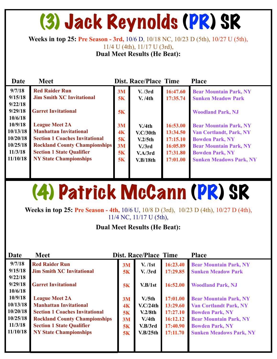### (3) Jack Reynolds (PR) SR

**Weeks in top 25: Pre Season - 3rd,** 10/6 D, 10/18 NC, 10/23 D (5th), 10/27 U (5th),

11/4 U (4th), 11/17 U (3rd),

**Dual Meet Results (He Beat):**

| Date     | <b>Meet</b>                           |    | <b>Dist. Race/Place Time</b> |          | <b>Place</b>                   |
|----------|---------------------------------------|----|------------------------------|----------|--------------------------------|
| 9/7/18   | <b>Red Raider Run</b>                 | 3M | V. /3rd                      | 16:47.60 | <b>Bear Mountain Park, NY</b>  |
| 9/15/18  | <b>Jim Smith XC Invitational</b>      | 5K | V. /4th                      | 17:35.74 | <b>Sunken Meadow Park</b>      |
| 9/22/18  |                                       |    |                              |          |                                |
| 9/29/18  | <b>Garret Invitational</b>            | 5K |                              |          | <b>Woodland Park, NJ</b>       |
| 10/6/18  |                                       |    |                              |          |                                |
| 10/9/18  | <b>League Meet 2A</b>                 | 3M | V/4th                        | 16:53.00 | <b>Bear Mountain Park, NY</b>  |
| 10/13/18 | <b>Manhattan Invitational</b>         | 4K | V.C/30th                     | 13:34.50 | <b>Van Cortlandt, Park, NY</b> |
| 10/20/18 | <b>Section 1 Coaches Invitational</b> | 5K | V.2/5th                      | 17:15.10 | <b>Bowden Park, NY</b>         |
| 10/25/18 | <b>Rockland County Championships</b>  | 3M | V <sub>1</sub> /3rd          | 16:05.89 | <b>Bear Mountain Park, NY</b>  |
| 11/3/18  | <b>Section 1 State Qualifier</b>      | 5K | V.A/3rd                      | 17:31.80 | <b>Bowden Park, NY</b>         |
| 11/10/18 | <b>NY State Championships</b>         | 5K | V.B/18th                     | 17:01.00 | <b>Sunken Meadows Park, NY</b> |
|          |                                       |    |                              |          |                                |
|          |                                       |    |                              |          |                                |

### (4) Patrick McCann (PR) SR

**Weeks in top 25: Pre Season - 4th,** 10/6 U, 10/8 D (3rd), 10/23 D (4th), 10/27 D (4th), 11/4 NC, 11/17 U (5th),

| Date               | <b>Meet</b>                           |    | <b>Dist. Race/Place Time</b> |          | <b>Place</b>                   |
|--------------------|---------------------------------------|----|------------------------------|----------|--------------------------------|
| 9/7/18             | <b>Red Raider Run</b>                 | 3M | V. / 1st                     | 16:23.40 | <b>Bear Mountain Park, NY</b>  |
| 9/15/18            | <b>Jim Smith XC Invitational</b>      | 5K | V. / 3rd                     | 17:29.85 | <b>Sunken Meadow Park</b>      |
| 9/22/18            |                                       |    |                              |          |                                |
| 9/29/18            | <b>Garret Invitational</b>            | 5K | V.B/1st                      | 16:52.00 | <b>Woodland Park, NJ</b>       |
| 10/6/18<br>10/9/18 |                                       |    |                              |          |                                |
|                    | <b>League Meet 2A</b>                 | 3M | V <sub>1</sub> /5th          | 17:01.00 | <b>Bear Mountain Park, NY</b>  |
| 10/13/18           | <b>Manhattan Invitational</b>         | 4K | V.C/24th                     | 13:29.60 | <b>Van Cortlandt Park, NY</b>  |
| 10/20/18           | <b>Section 1 Coaches Invitational</b> | 5K | V.2/8th                      | 17:27.10 | <b>Bowden Park, NY</b>         |
| 10/25/18           | <b>Rockland County Championships</b>  | 3M | V.4th                        | 16:12.12 | <b>Bear Mountain Park, NY</b>  |
| 11/3/18            | <b>Section 1 State Qualifier</b>      | 5K | V.B/3rd                      | 17:40.90 | <b>Bowden Park, NY</b>         |
| 11/10/18           | <b>NY State Championships</b>         | 5K | V.B/25th                     | 17:11.70 | <b>Sunken Meadows Park, NY</b> |
|                    |                                       |    |                              |          |                                |
|                    |                                       |    |                              |          |                                |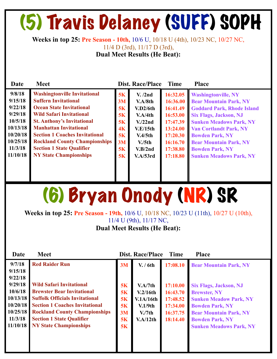## (5) Travis Delaney (SUFF) SOPH

**Weeks in top 25: Pre Season - 10th,** 10/6 U, 10/18 U (4th), 10/23 NC, 10/27 NC, 11/4 D (3rd), 11/17 D (3rd),

**Dual Meet Results (He Beat):**

| Date                                                                                              | <b>Meet</b>                                                                                                                                                                                                                                                                                                                         |                                                    | <b>Dist. Race/Place</b>                                                                                                    | <b>Time</b>                                                                                              | <b>Place</b>                                                                                                                                                                                                                                                                              |
|---------------------------------------------------------------------------------------------------|-------------------------------------------------------------------------------------------------------------------------------------------------------------------------------------------------------------------------------------------------------------------------------------------------------------------------------------|----------------------------------------------------|----------------------------------------------------------------------------------------------------------------------------|----------------------------------------------------------------------------------------------------------|-------------------------------------------------------------------------------------------------------------------------------------------------------------------------------------------------------------------------------------------------------------------------------------------|
| 9/8/18<br>9/15/18<br>9/22/18<br>9/29/18<br>10/5/18<br>10/13/18<br>10/20/18<br>10/25/18<br>11/3/18 | <b>Washingtonville Invitational</b><br><b>Suffern Invitational</b><br><b>Ocean State Invitational</b><br><b>Wild Safari Invitational</b><br><b>St. Anthony's Invitational</b><br><b>Manhattan Invitational</b><br><b>Section 1 Coaches Invitational</b><br><b>Rockland County Championships</b><br><b>Section 1 State Qualifier</b> | 5K<br>3M<br>5K<br>5K<br>5K<br>4K<br>5K<br>3M<br>5K | V. /2nd<br>V.A/8th<br>V.D2/6th<br>V.A/4th<br>V <sub>1</sub> /22nd<br>V.E/15th<br>V.4/5th<br>V <sub>1</sub> /5th<br>V.B/2nd | 16:32.05<br>16:36.00<br>16:41.49<br>16:53.00<br>17:47.39<br>13:24.00<br>17:20.30<br>16:16.70<br>17:38.80 | <b>Washingtonville, NY</b><br><b>Bear Mountain Park, NY</b><br><b>Goddard Park, Rhode Island</b><br><b>Six Flags, Jackson, NJ</b><br><b>Sunken Meadows Park, NY</b><br><b>Van Cortlandt Park, NY</b><br><b>Bowden Park, NY</b><br><b>Bear Mountain Park, NY</b><br><b>Bowden Park, NY</b> |
| 11/10/18                                                                                          | <b>NY State Championships</b>                                                                                                                                                                                                                                                                                                       | 5K                                                 | V.A/53rd                                                                                                                   | 17:18.80                                                                                                 | <b>Sunken Meadows Park, NY</b>                                                                                                                                                                                                                                                            |

### (6) Bryan Onody (NR) SR

**Weeks in top 25: Pre Season - 19th,** 10/6 U, 10/18 NC, 10/23 U (11th), 10/27 U (10th), 11/4 U (9th), 11/17 NC,

| Date                                                                          | <b>Meet</b>                                                                                                                                                                                                                                                         |                                        | Dist. Race/Place                                                               | <b>Time</b>                                                          | <b>Place</b>                                                                                                                                                                                                 |
|-------------------------------------------------------------------------------|---------------------------------------------------------------------------------------------------------------------------------------------------------------------------------------------------------------------------------------------------------------------|----------------------------------------|--------------------------------------------------------------------------------|----------------------------------------------------------------------|--------------------------------------------------------------------------------------------------------------------------------------------------------------------------------------------------------------|
| 9/7/18<br>9/15/18<br>9/22/18                                                  | <b>Red Raider Run</b>                                                                                                                                                                                                                                               | 3M                                     | V. / 6th                                                                       | 17:08.10                                                             | <b>Bear Mountain Park, NY</b>                                                                                                                                                                                |
| 9/29/18<br>10/6/18<br>10/13/18<br>10/20/18<br>10/25/18<br>11/3/18<br>11/10/18 | <b>Wild Safari Invitational</b><br><b>Brewster Bear Invitational</b><br><b>Suffolk Officials Invitational</b><br><b>Section 1 Coaches Invitational</b><br><b>Rockland County Championships</b><br><b>Section 1 State Qualifier</b><br><b>NY State Championships</b> | 5K<br>5K<br>5K<br>5K<br>3M<br>5K<br>5K | V.A/7th<br>V.2/16th<br>V.1A/16th<br>V.1/9th<br>V <sub>1</sub> /7th<br>V.A/12th | 17:10.00<br>16:43.70<br>17:48.52<br>17:34.00<br>16:37.75<br>18:14.40 | <b>Six Flags, Jackson, NJ</b><br><b>Brewster, NY</b><br><b>Sunken Meadow Park, NY</b><br><b>Bowden Park, NY</b><br><b>Bear Mountain Park, NY</b><br><b>Bowden Park, NY</b><br><b>Sunken Meadows Park, NY</b> |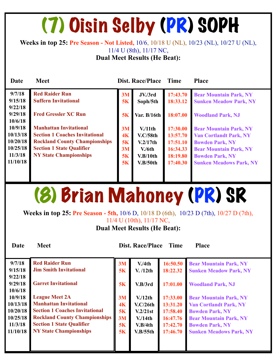## (7) Oisin Selby (PR) SOPH

#### **Weeks in top 25: Pre Season - Not Listed,** 10/6, 10/18 U (NL), 10/23 (NL), 10/27 U (NL), 11/4 U (8th), 11/17 NC,

**Dual Meet Results (He Beat):**

| Date                 | <b>Meet</b>                                                                   |                      | Dist. Race/Place     | <b>Time</b>          | <b>Place</b>                                                   |
|----------------------|-------------------------------------------------------------------------------|----------------------|----------------------|----------------------|----------------------------------------------------------------|
| 9/7/18<br>9/15/18    | <b>Red Raider Run</b><br><b>Suffern Invitational</b>                          | 3M<br>5K             | JV./3rd<br>Soph/5th  | 17:43.70<br>18:33.12 | <b>Bear Mountain Park, NY</b><br><b>Sunken Meadow Park, NY</b> |
| 9/22/18<br>9/29/18   | <b>Fred Gressler XC Run</b>                                                   | 5K                   | Var. B/16th          | 18:07.00             | <b>Woodland Park, NJ</b>                                       |
| 10/6/18<br>10/9/18   | <b>Manhattan Invitational</b>                                                 | 3M                   | V <sub>11th</sub>    | 17:30.00             | <b>Bear Mountain Park, NY</b>                                  |
| 10/13/18<br>10/20/18 | <b>Section 1 Coaches Invitational</b><br><b>Rockland County Championships</b> | 4 <sub>K</sub><br>5K | V.C/58th<br>V.2/17th | 13:57.70<br>17:51.10 | <b>Van Cortlandt Park, NY</b><br><b>Bowden Park, NY</b>        |
| 10/25/18<br>11/3/18  | <b>Section 1 State Qualifier</b><br><b>NY State Championships</b>             | 3M<br><b>5K</b>      | V/6th<br>V.B/10th    | 16:34.33<br>18:19.80 | <b>Bear Mountain Park, NY</b><br><b>Bowden Park, NY</b>        |
| 11/10/18             |                                                                               | 5K                   | V.B/50th             | 17:40.30             | <b>Sunken Meadows Park, NY</b>                                 |

### (8) Brian Mahoney (PR) SR

**Weeks in top 25: Pre Season - 5th,** 10/6 D, 10/18 D (6th), 10/23 D (7th), 10/27 D (7th), 11/4 U (10th), 11/17 NC,

**Dual Meet Results (He Beat):**

**Date Meet Dist. Race/Place Time Place** 

| 9/7/18                        | <b>Red Raider Run</b>                 | 3M | V.4th    | 16:50.50 | <b>Bear Mountain Park, NY</b>  |
|-------------------------------|---------------------------------------|----|----------|----------|--------------------------------|
| 9/15/18                       | <b>Jim Smith Invitational</b>         | 5K | V. /12th | 18:22.32 | <b>Sunken Meadow Park, NY</b>  |
| 9/22/18<br>9/29/18<br>10/6/18 | <b>Garret Invitational</b>            | 5K | V.B/3rd  | 17:01.00 | <b>Woodland Park, NJ</b>       |
| 10/9/18                       | <b>League Meet 2A</b>                 | 3M | V/12th   | 17:33.00 | <b>Bear Mountain Park, NY</b>  |
| 10/13/18                      | <b>Manhattan Invitational</b>         | 4K | V.C/26th | 13:31.20 | <b>Van Cortlandt Park, NY</b>  |
| 10/20/18                      | <b>Section 1 Coaches Invitational</b> | 5K | V.2/21st | 17:58.40 | <b>Bowden Park, NY</b>         |
| 10/25/18                      | <b>Rockland County Championships</b>  | 3M | V/14th   | 16:47.76 | <b>Bear Mountain Park, NY</b>  |
| 11/3/18                       | <b>Section 1 State Qualifier</b>      | 5K | V.B/4th  | 17:42.70 | <b>Bowden Park, NY</b>         |
| 11/10/18                      | <b>NY State Championships</b>         | 5K | V.B/55th | 17:46.70 | <b>Sunken Meadows Park, NY</b> |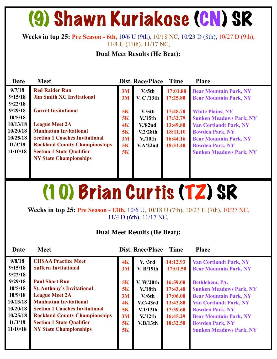### (9) Shawn Kuriakose (CN) SR

#### **Weeks in top 25: Pre Season - 6th,** 10/6 U (9th), 10/18 NC, 10/23 D (8th), 10/27 D (9th), 11/4 U (11th), 11/17 NC,

#### **Dual Meet Results (He Beat):**

| Date                                                    | <b>Meet</b>                                                                                                                                                                                                  |                            | <b>Dist. Race/Place</b>                         | <b>Time</b>                                  | <b>Place</b>                                                                                                                                         |
|---------------------------------------------------------|--------------------------------------------------------------------------------------------------------------------------------------------------------------------------------------------------------------|----------------------------|-------------------------------------------------|----------------------------------------------|------------------------------------------------------------------------------------------------------------------------------------------------------|
| 9/7/18<br>9/15/18<br>9/22/18                            | <b>Red Raider Run</b><br><b>Jim Smith XC Invitational</b>                                                                                                                                                    | 3M<br>3M                   | V <sub>1</sub> /5th<br>V. C /13th               | 17:01.80<br>17:25.80                         | <b>Bear Mountain Park, NY</b><br><b>Bear Mountain Park, NY</b>                                                                                       |
| 9/29/18<br>10/5/18                                      | <b>Garret Invitational</b>                                                                                                                                                                                   | 5K<br>5K                   | V <sub>1</sub> /5th<br>$V/15$ th                | 17:48.70<br>17:32.79                         | <b>White Plains, NY</b><br><b>Sunken Meadows Park, NY</b>                                                                                            |
| 10/13/18<br>10/20/18<br>10/25/18<br>11/3/18<br>11/10/18 | <b>League Meet 2A</b><br><b>Manhattan Invitational</b><br><b>Section 1 Coaches Invitational</b><br><b>Rockland County Championships</b><br><b>Section 1 State Qualifier</b><br><b>NY State Championships</b> | 4K<br>5K<br>3M<br>5K<br>5K | $V.$ /82nd<br>V.2/28th<br>$V/10$ th<br>V.A/22nd | 13:49.80<br>18:11.10<br>16:44.16<br>18:31.40 | <b>Van Cortlandt Park, NY</b><br><b>Bowden Park, NY</b><br><b>Bear Mountain Park, NY</b><br><b>Bowden Park, NY</b><br><b>Sunken Meadows Park, NY</b> |

### (10) Brian Curtis (TZ) SR

**Weeks in top 25: Pre Season - 13th,** 10/6 U, 10/18 U (7th), 10/23 U (7th), 10/27 NC, 11/4 D (6th), 11/17 NC,

| Date                                      | <b>Meet</b>                                                                                                          |                      | Dist. Race/Place                         | <b>Time</b>                                  | <b>Place</b>                                                                                                       |
|-------------------------------------------|----------------------------------------------------------------------------------------------------------------------|----------------------|------------------------------------------|----------------------------------------------|--------------------------------------------------------------------------------------------------------------------|
| 9/8/18<br>9/15/18<br>9/22/18              | <b>CHSAA Practice Meet</b><br><b>Suffern Invitational</b>                                                            | 4K<br>3M             | V. /3rd<br>V. B/19th                     | 14:12.93<br>17:01.50                         | <b>Van Cortlandt Park, NY</b><br><b>Bear Mountain Park, NY</b>                                                     |
| 9/29/18<br>10/5/18<br>10/9/18<br>10/13/18 | <b>Paul Short Run</b><br><b>St. Anthony's Invitational</b><br><b>League Meet 2A</b><br><b>Manhattan Invitational</b> | 5K<br>5K<br>3M<br>4K | V. W/20th<br>V/18th<br>V/6th<br>V.C/43rd | 16:59.00<br>17:43.48<br>17:06.00<br>13:42.80 | Bethlehem, PA.<br><b>Sunken Meadows Park, NY</b><br><b>Bear Mountain Park, NY</b><br><b>Van Cortlandt Park, NY</b> |
| 10/20/18<br>10/25/18<br>11/3/18           | <b>Section 1 Coaches Invitational</b><br><b>Rockland County Championships</b><br><b>Section 1 State Qualifier</b>    | 5K<br>3M<br>5K       | V.1/12th<br>V/12th<br>V.B/13th           | 17:39.60<br>16:45.29<br>18:32.50             | <b>Bowden Park, NY</b><br><b>Bear Mountain Park, NY</b><br><b>Bowden Park, NY</b>                                  |
| 11/10/18                                  | <b>NY State Championships</b>                                                                                        | 5K                   |                                          |                                              | <b>Sunken Meadows Park, NY</b>                                                                                     |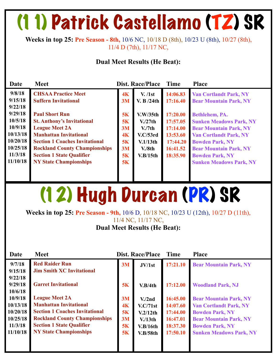### (11) Patrick Castellamo (TZ) SR

**Weeks in top 25: Pre Season - 8th,** 10/6 NC, 10/18 D (8th), 10/23 U (8th), 10/27 (8th), 11/4 D (7th), 11/17 NC,

#### **Dual Meet Results (He Beat):**

| Date               | <b>Meet</b>                           |    | Dist. Race/Place     | <b>Time</b> | <b>Place</b>                   |
|--------------------|---------------------------------------|----|----------------------|-------------|--------------------------------|
| 9/8/18             | <b>CHSAA Practice Meet</b>            | 4K | V. / 1st             | 14:06.83    | <b>Van Cortlandt Park, NY</b>  |
| 9/15/18<br>9/22/18 | <b>Suffern Invitational</b>           | 3M | V. B $/24th$         | 17:16.40    | <b>Bear Mountain Park, NY</b>  |
| 9/29/18            | <b>Paul Short Run</b>                 | 5K | V.W/35th             | 17:20.00    | Bethlehem, PA.                 |
| 10/5/18            | <b>St. Anthony's Invitational</b>     | 5K | V <sub>1</sub> /27th | 17:57.05    | <b>Sunken Meadows Park, NY</b> |
| 10/9/18            | <b>League Meet 2A</b>                 | 3M | $V_{\rm A}/7$ th     | 17:14.00    | <b>Bear Mountain Park, NY</b>  |
| 10/13/18           | <b>Manhattan Invitational</b>         | 4K | V.C/53rd             | 13:53.60    | <b>Van Cortlandt Park, NY</b>  |
| 10/20/18           | <b>Section 1 Coaches Invitational</b> | 5K | V.1/13th             | 17:44.20    | <b>Bowden Park, NY</b>         |
| 10/25/18           | <b>Rockland County Championships</b>  | 3M | V.8th                | 16:41.52    | <b>Bear Mountain Park, NY</b>  |
| 11/3/18            | <b>Section 1 State Qualifier</b>      | 5K | V.B/15th             | 18:35.90    | <b>Bowden Park, NY</b>         |
| 11/10/18           | <b>NY State Championships</b>         | 5K |                      |             | <b>Sunken Meadows Park, NY</b> |
|                    |                                       |    |                      |             |                                |

### (12) Hugh Durcan (PR) SR

**Weeks in top 25: Pre Season - 9th,** 10/6 D, 10/18 NC, 10/23 U (12th), 10/27 D (11th), 11/4 NC, 11/17 NC,

| Date     | <b>Meet</b>                           |                | Dist. Race/Place   | Time     | <b>Place</b>                   |
|----------|---------------------------------------|----------------|--------------------|----------|--------------------------------|
| 9/7/18   | <b>Red Raider Run</b>                 | 3M             | JV/1st             | 17:21.10 | <b>Bear Mountain Park, NY</b>  |
| 9/15/18  | <b>Jim Smith XC Invitational</b>      |                |                    |          |                                |
| 9/22/18  |                                       |                |                    |          |                                |
| 9/29/18  | <b>Garret Invitational</b>            | 5K             | V.B/4th            | 17:12.00 | <b>Woodland Park, NJ</b>       |
| 10/6/18  |                                       |                |                    |          |                                |
| 10/9/18  | <b>League Meet 2A</b>                 | 3M             | V/2nd              | 16:45.00 | <b>Bear Mountain Park, NY</b>  |
| 10/13/18 | <b>Manhattan Invitational</b>         | 4 <sub>K</sub> | V.C/71st           | 14:07.60 | <b>Van Cortlandt Park, NY</b>  |
| 10/20/18 | <b>Section 1 Coaches Invitational</b> | 5K             | V.2/12th           | 17:44.00 | <b>Bowden Park, NY</b>         |
| 10/25/18 | <b>Rockland County Championships</b>  | 3M             | V/13 <sup>th</sup> | 16:47.01 | <b>Bear Mountain Park, NY</b>  |
| 11/3/18  | <b>Section 1 State Qualifier</b>      | 5K             | V.B/16th           | 18:37.30 | <b>Bowden Park, NY</b>         |
| 11/10/18 | <b>NY State Championships</b>         | 5K             | V.B/58th           | 17:50.10 | <b>Sunken Meadows Park, NY</b> |
|          |                                       |                |                    |          |                                |
|          |                                       |                |                    |          |                                |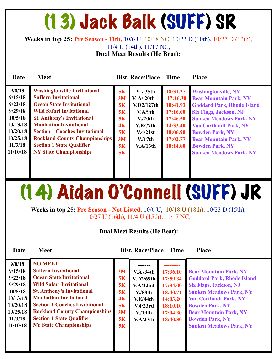### (13) Jack Balk (SUFF) SR

**Weeks in top 25: Pre Season - 11th,** 10/6 U, 10/18 NC, 10/23 D (10th), 10/27 D (12th), 11/4 U (14th), 11/17 NC,

**Dual Meet Results (He Beat):**

| <b>Date</b>                                                                                                   | <b>Meet</b>                                                                                                                                                                                                                                                                                                                                                          |                                                                      | Dist. Race/Place                                                                                                       | <b>Time</b>                                                                                              | <b>Place</b>                                                                                                                                                                                                                                                                                                                |
|---------------------------------------------------------------------------------------------------------------|----------------------------------------------------------------------------------------------------------------------------------------------------------------------------------------------------------------------------------------------------------------------------------------------------------------------------------------------------------------------|----------------------------------------------------------------------|------------------------------------------------------------------------------------------------------------------------|----------------------------------------------------------------------------------------------------------|-----------------------------------------------------------------------------------------------------------------------------------------------------------------------------------------------------------------------------------------------------------------------------------------------------------------------------|
| 9/8/18<br>9/15/18<br>9/22/18<br>9/29/18<br>10/5/18<br>10/13/18<br>10/20/18<br>10/25/18<br>11/3/18<br>11/10/18 | <b>Washingtonville Invitational</b><br><b>Suffern Invitational</b><br><b>Ocean State Invitational</b><br><b>Wild Safari Invitational</b><br><b>St. Anthony's Invitational</b><br><b>Manhattan Invitational</b><br><b>Section 1 Coaches Invitational</b><br><b>Rockland County Championships</b><br><b>Section 1 State Qualifier</b><br><b>NY State Championships</b> | 5K<br>3M<br>5K<br>5K<br>5K<br>4 <sub>K</sub><br>5K<br>3M<br>5K<br>5K | V. / 35th<br>V. A/ 20th<br>V.D2/127th<br>V.A/9th<br>V <sub>1</sub> /20th<br>V.E/77th<br>V.4/21st<br>V/17th<br>V.A/13th | 18:31.27<br>17:16.30<br>18:41.93<br>17:16.00<br>17:46.50<br>14:33.40<br>18:06.90<br>17:02.77<br>18:14.80 | <b>Washingtonville, NY</b><br><b>Bear Mountain Park, NY</b><br><b>Goddard Park, Rhode Island</b><br><b>Six Flags, Jackson, NJ</b><br><b>Sunken Meadows Park, NY</b><br><b>Van Cortlandt Park, NY</b><br><b>Bowden Park, NY</b><br><b>Bear Mountain Park, NY</b><br><b>Bowden Park, NY</b><br><b>Sunken Meadows Park, NY</b> |

## (14) Aidan O'Connell (SUFF) JR

**Weeks in top 25: Pre Season - Not Listed,** 10/6 U, 10/18 U (18th), 10/23 D (15th), 10/27 U (16th), 11/4 U (15th), 11/17 NC,

#### **Dual Meet Results (He Beat):**

**Date Meet Dist. Race/Place Time Place** 

| 9/8/18   | <b>NO MEET</b>                        | --- |                    |          |                                   |
|----------|---------------------------------------|-----|--------------------|----------|-----------------------------------|
| 9/15/18  | <b>Suffern Invitational</b>           | 3M  | $V.A$ /34th        | 17:36.10 | <b>Bear Mountain Park, NY</b>     |
| 9/22/18  | <b>Ocean State Invitational</b>       | 5K  | V.D2/69th          | 17:59.34 | <b>Goddard Park, Rhode Island</b> |
| 9/29/18  | <b>Wild Safari Invitational</b>       | 5K  | V.A/22nd           | 17:34.00 | <b>Six Flags, Jackson, NJ</b>     |
| 10/5/18  | <b>St. Anthony's Invitational</b>     | 5K  | $V. / 88$ th       | 18:40.71 | <b>Sunken Meadows Park, NY</b>    |
| 10/13/18 | <b>Manhattan Invitational</b>         | 4K  | V.E/44th           | 14:03.20 | <b>Van Cortlandt Park, NY</b>     |
| 10/20/18 | <b>Section 1 Coaches Invitational</b> | 5K  | V.4/23rd           | 18:10.10 | <b>Bowden Park, NY</b>            |
| 10/25/18 | <b>Rockland County Championships</b>  | 3M  | V/19 <sub>th</sub> | 17:04.30 | <b>Bear Mountain Park, NY</b>     |
| 11/3/18  | <b>Section 1 State Qualifier</b>      | 5K  | V.A/27th           | 18:40.30 | <b>Bowden Park, NY</b>            |
| 11/10/18 | <b>NY State Championships</b>         | 5K  |                    |          | <b>Sunken Meadows Park, NY</b>    |
|          |                                       |     |                    |          |                                   |
|          |                                       |     |                    |          |                                   |
|          |                                       |     |                    |          |                                   |
|          |                                       |     |                    |          |                                   |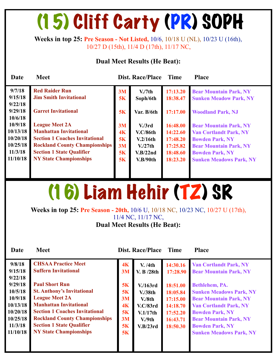## (15) Cliff Carty (PR) SOPH

**Weeks in top 25: Pre Season - Not Listed,** 10/6, 10/18 U (NL), 10/23 U (16th), 10/27 D (15th), 11/4 D (17th), 11/17 NC,

#### **Dual Meet Results (He Beat):**

| Date     | <b>Meet</b>                           |    | Dist. Race/Place     | <b>Time</b> | <b>Place</b>                   |
|----------|---------------------------------------|----|----------------------|-------------|--------------------------------|
| 9/7/18   | <b>Red Raider Run</b>                 | 3M | V <sub>1</sub> /7th  | 17:13.20    | <b>Bear Mountain Park, NY</b>  |
| 9/15/18  | <b>Jim Smith Invitational</b>         | 5K | Soph/6th             | 18:38.47    | <b>Sunken Meadow Park, NY</b>  |
| 9/22/18  |                                       |    |                      |             |                                |
| 9/29/18  | <b>Garret Invitational</b>            | 5K | Var. B/6th           | 17:17.00    | <b>Woodland Park, NJ</b>       |
| 10/6/18  |                                       |    |                      |             |                                |
| 10/9/18  | <b>League Meet 2A</b>                 | 3M | V <sub>1</sub> /3rd  | 16:48.00    | <b>Bear Mountain Park, NY</b>  |
| 10/13/18 | <b>Manhattan Invitational</b>         | 4K | <b>V.C/86th</b>      | 14:22.60    | <b>Van Cortlandt Park, NY</b>  |
| 10/20/18 | <b>Section 1 Coaches Invitational</b> | 5K | V.2/16th             | 17:48.20    | <b>Bowden Park, NY</b>         |
| 10/25/18 | <b>Rockland County Championships</b>  | 3M | V <sub>1</sub> /27th | 17:25.82    | <b>Bear Mountain Park, NY</b>  |
| 11/3/18  | <b>Section 1 State Qualifier</b>      | 5K | V.B/22nd             | 18:48.60    | <b>Bowden Park, NY</b>         |
| 11/10/18 | <b>NY State Championships</b>         | 5K | V.B/90th             | 18:23.20    | <b>Sunken Meadows Park, NY</b> |
|          |                                       |    |                      |             |                                |
|          |                                       |    |                      |             |                                |

## (16) Liam Hehir (TZ) SR

**Weeks in top 25: Pre Season - 20th,** 10/6 U, 10/18 NC, 10/23 NC, 10/27 U (17th), 11/4 NC, 11/17 NC, **Dual Meet Results (He Beat):** 

| Date                                        | <b>Meet</b>                                                                                                                          |                                    | Dist. Race/Place Time                              |                                  | <b>Place</b>                                                                                                        |
|---------------------------------------------|--------------------------------------------------------------------------------------------------------------------------------------|------------------------------------|----------------------------------------------------|----------------------------------|---------------------------------------------------------------------------------------------------------------------|
| 9/8/18<br>9/15/18<br>9/22/18<br>9/29/18     | <b>CHSAA Practice Meet</b><br><b>Suffern Invitational</b><br><b>Paul Short Run</b>                                                   | 4K<br>3M<br>5K                     | V. /4th<br>V. B /28th                              | 14:30.16<br>17:28.90<br>18:51.00 | <b>Van Cortlandt Park, NY</b><br><b>Bear Mountain Park, NY</b><br>Bethlehem, PA.                                    |
| 10/5/18<br>10/9/18<br>10/13/18              | <b>St. Anthony's Invitational</b><br><b>League Meet 2A</b><br><b>Manhattan Invitational</b><br><b>Section 1 Coaches Invitational</b> | 5K<br>3M<br>4 <sub>K</sub>         | V/163rd<br>V/38th<br>V/8 <sub>th</sub><br>V.C/83rd | 18:05.84<br>17:15.00<br>14:18.70 | <b>Sunken Meadows Park, NY</b><br><b>Bear Mountain Park, NY</b><br><b>Van Cortlandt Park, NY</b>                    |
| 10/20/18<br>10/25/18<br>11/3/18<br>11/10/18 | <b>Rockland County Championships</b><br><b>Section 1 State Qualifier</b><br><b>NY State Championships</b>                            | <b>5K</b><br><b>3M</b><br>5K<br>5K | V.1/17th<br>$V_{\rm A}/9$ th<br>V.B/23rd           | 17:52.20<br>16:43.71<br>18:50.30 | <b>Bowden Park, NY</b><br><b>Bear Mountain Park, NY</b><br><b>Bowden Park, NY</b><br><b>Sunken Meadows Park, NY</b> |
|                                             |                                                                                                                                      |                                    |                                                    |                                  |                                                                                                                     |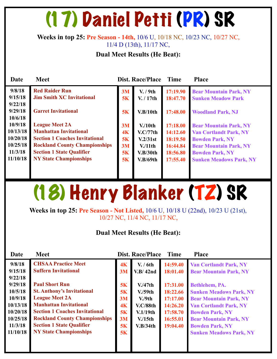### (17) Daniel Petti (PR) SR

#### **Weeks in top 25: Pre Season - 14th,** 10/6 U, 10/18 NC, 10/23 NC, 10/27 NC, 11/4 D (13th), 11/17 NC,

#### **Dual Meet Results (He Beat):**

| Date     | <b>Meet</b>                           |    | <b>Dist. Race/Place</b> | Time     | <b>Place</b>                   |
|----------|---------------------------------------|----|-------------------------|----------|--------------------------------|
| 9/8/18   | <b>Red Raider Run</b>                 | 3M | V. / 9th                | 17:19.90 | <b>Bear Mountain Park, NY</b>  |
| 9/15/18  | <b>Jim Smith XC Invitational</b>      | 5K | V. / 17th               | 18:47.70 | <b>Sunken Meadow Park</b>      |
| 9/22/18  |                                       |    |                         |          |                                |
| 9/29/18  | <b>Garret Invitational</b>            | 5K | V.B/10th                | 17:48.00 | <b>Woodland Park, NJ</b>       |
| 10/6/18  |                                       |    |                         |          |                                |
| 10/9/18  | <b>League Meet 2A</b>                 | 3M | $V/10$ th               | 17:18.00 | <b>Bear Mountain Park, NY</b>  |
| 10/13/18 | <b>Manhattan Invitational</b>         | 4K | V.C/77th                | 14:12.60 | <b>Van Cortlandt Park, NY</b>  |
| 10/20/18 | <b>Section 1 Coaches Invitational</b> | 5K | V.2/31st                | 18:19.50 | <b>Bowden Park, NY</b>         |
| 10/25/18 | <b>Rockland County Championships</b>  | 3M | $V/11$ th               | 16:44.84 | <b>Bear Mountain Park, NY</b>  |
| 11/3/18  | <b>Section 1 State Qualifier</b>      | 5K | V.B/30th                | 18:56.80 | <b>Bowden Park, NY</b>         |
| 11/10/18 | <b>NY State Championships</b>         | 5K | V.B/69th                | 17:55.40 | <b>Sunken Meadows Park, NY</b> |
|          |                                       |    |                         |          |                                |
|          |                                       |    |                         |          |                                |

## (18) Henry Blanker (TZ) SR

**Weeks in top 25: Pre Season - Not Listed,** 10/6 U, 10/18 U (22nd), 10/23 U (21st), 10/27 NC, 11/4 NC, 11/17 NC,

| Date                                                                          | <b>Meet</b>                                                                                                                                                                                                                                       |                                               | Dist. Race/Place                                                                      | <b>Time</b>                                                          | <b>Place</b>                                                                                                                                                                                                            |
|-------------------------------------------------------------------------------|---------------------------------------------------------------------------------------------------------------------------------------------------------------------------------------------------------------------------------------------------|-----------------------------------------------|---------------------------------------------------------------------------------------|----------------------------------------------------------------------|-------------------------------------------------------------------------------------------------------------------------------------------------------------------------------------------------------------------------|
| 9/8/18<br>9/15/18<br>9/22/18<br>9/29/18                                       | <b>CHSAA Practice Meet</b><br><b>Suffern Invitational</b><br><b>Paul Short Run</b>                                                                                                                                                                | 4K<br>3M<br>5K                                | V. / 6th<br>V.B/42nd<br>V <sub>1</sub> /47th                                          | 14:59.40<br>18:01.40<br>17:31.00                                     | <b>Van Cortlandt Park, NY</b><br><b>Bear Mountain Park, NY</b><br>Bethlehem, PA.                                                                                                                                        |
| 10/5/18<br>10/9/18<br>10/13/18<br>10/20/18<br>10/25/18<br>11/3/18<br>11/10/18 | <b>St. Anthony's Invitational</b><br><b>League Meet 2A</b><br><b>Manhattan Invitational</b><br><b>Section 1 Coaches Invitational</b><br><b>Rockland County Championships</b><br><b>Section 1 State Qualifier</b><br><b>NY State Championships</b> | 5K<br>3M<br>4K<br>5K<br>3M<br>5K<br><b>5K</b> | V <sub>1</sub> /59th<br>V.9th<br><b>V.C/88th</b><br>V.1/19th<br>$V/15$ th<br>V.B/34th | 18:22.66<br>17:17.00<br>14:26.20<br>17:58.70<br>16:55.01<br>19:04.40 | <b>Sunken Meadows Park, NY</b><br><b>Bear Mountain Park, NY</b><br><b>Van Cortlandt Park, NY</b><br><b>Bowden Park, NY</b><br><b>Bear Mountain Park, NY</b><br><b>Bowden Park, NY</b><br><b>Sunken Meadows Park, NY</b> |
|                                                                               |                                                                                                                                                                                                                                                   |                                               |                                                                                       |                                                                      |                                                                                                                                                                                                                         |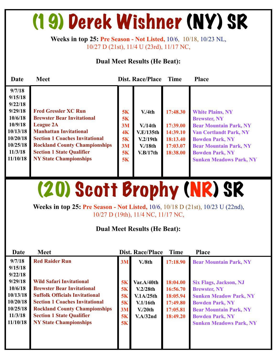### (19) Derek Wishner (NY) SR

**Weeks in top 25: Pre Season - Not Listed,** 10/6, 10/18, 10/23 NL, 10/27 D (21st), 11/4 U (23rd), 11/17 NC,

#### **Dual Meet Results (He Beat):**

| Date                                                                                                                     | <b>Meet</b>                                                                                                                                                                                                                                                                 |                                              | Dist. Race/Place                                                                  | <b>Time</b>                                                          | <b>Place</b>                                                                                                                                                                                                                            |
|--------------------------------------------------------------------------------------------------------------------------|-----------------------------------------------------------------------------------------------------------------------------------------------------------------------------------------------------------------------------------------------------------------------------|----------------------------------------------|-----------------------------------------------------------------------------------|----------------------------------------------------------------------|-----------------------------------------------------------------------------------------------------------------------------------------------------------------------------------------------------------------------------------------|
| 9/7/18<br>9/15/18<br>9/22/18<br>9/29/18<br>10/6/18<br>10/9/18<br>10/13/18<br>10/20/18<br>10/25/18<br>11/3/18<br>11/10/18 | <b>Fred Gressler XC Run</b><br><b>Brewster Bear Invitational</b><br><b>League 2A</b><br><b>Manhattan Invitational</b><br><b>Section 1 Coaches Invitational</b><br><b>Rockland County Championships</b><br><b>Section 1 State Qualifier</b><br><b>NY State Championships</b> | 5K<br>5K<br>3M<br>4K<br>5K<br>3M<br>5K<br>5K | V.4th<br>V/14th<br><b>V.E/135th</b><br>V.2/19th<br>V/18 <sub>th</sub><br>V.B/17th | 17:48.30<br>17:39.00<br>14:39.10<br>18:13.40<br>17:03.07<br>18:38.00 | <b>White Plains, NY</b><br><b>Brewster, NY</b><br><b>Bear Mountain Park, NY</b><br><b>Van Cortlandt Park, NY</b><br><b>Bowden Park, NY</b><br><b>Bear Mountain Park, NY</b><br><b>Bowden Park, NY</b><br><b>Sunken Meadows Park, NY</b> |

### (20) Scott Brophy (NR) SR

**Weeks in top 25: Pre Season - Not Listed,** 10/6, 10/18 D (21st), 10/23 U (22nd), 10/27 D (19th), 11/4 NC, 11/17 NC,

| Date                                                                                     | <b>Meet</b>                                                                                                                                                                                                                                                         |                                        | <b>Dist. Race/Place</b>                                                             | <b>Time</b>                                                          | <b>Place</b>                                                                                                                                                                                                 |
|------------------------------------------------------------------------------------------|---------------------------------------------------------------------------------------------------------------------------------------------------------------------------------------------------------------------------------------------------------------------|----------------------------------------|-------------------------------------------------------------------------------------|----------------------------------------------------------------------|--------------------------------------------------------------------------------------------------------------------------------------------------------------------------------------------------------------|
| 9/7/18<br>9/15/18                                                                        | <b>Red Raider Run</b>                                                                                                                                                                                                                                               | 3M                                     | V.8th                                                                               | 17:18.90                                                             | <b>Bear Mountain Park, NY</b>                                                                                                                                                                                |
| 9/22/18<br>9/29/18<br>10/6/18<br>10/13/18<br>10/20/18<br>10/25/18<br>11/3/18<br>11/10/18 | <b>Wild Safari Invitational</b><br><b>Brewster Bear Invitational</b><br><b>Suffolk Officials Invitational</b><br><b>Section 1 Coaches Invitational</b><br><b>Rockland County Championships</b><br><b>Section 1 State Qualifier</b><br><b>NY State Championships</b> | 5K<br>5K<br>5K<br>5K<br>3M<br>5K<br>5K | Var.A/40th<br>V.2/28th<br>V.1A/25th<br>V.1/16th<br>V <sub>1</sub> /20th<br>V.A/32nd | 18:04.00<br>16:56.70<br>18:05.94<br>17:49.80<br>17:05.81<br>18:49.20 | <b>Six Flags, Jackson, NJ</b><br><b>Brewster, NY</b><br><b>Sunken Meadow Park, NY</b><br><b>Bowden Park, NY</b><br><b>Bear Mountain Park, NY</b><br><b>Bowden Park, NY</b><br><b>Sunken Meadows Park, NY</b> |
|                                                                                          |                                                                                                                                                                                                                                                                     |                                        |                                                                                     |                                                                      |                                                                                                                                                                                                              |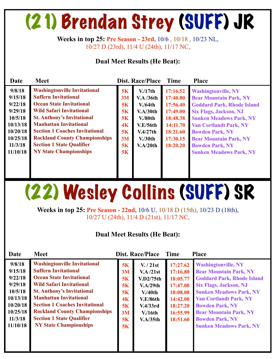## (21) Brendan Strey (SUFF) JR

**Weeks in top 25: Pre Season - 23rd,** 10/6 , 10/18 , 10/23 NL, 10/27 D (23rd), 11/4 U (24th), 11/17 NC,

#### **Dual Meet Results (He Beat):**

| Date                                                                       | <b>Meet</b>                                                                                                                                                                                                                                                                                     |                                        | Dist. Race/Place                                                                             | <b>Time</b>                                                                      | <b>Place</b>                                                                                                                                                                                                                   |
|----------------------------------------------------------------------------|-------------------------------------------------------------------------------------------------------------------------------------------------------------------------------------------------------------------------------------------------------------------------------------------------|----------------------------------------|----------------------------------------------------------------------------------------------|----------------------------------------------------------------------------------|--------------------------------------------------------------------------------------------------------------------------------------------------------------------------------------------------------------------------------|
| 9/8/18<br>9/15/18<br>9/22/18<br>9/29/18<br>10/5/18<br>10/13/18<br>10/20/18 | <b>Washingtonville Invitational</b><br><b>Suffern Invitational</b><br><b>Ocean State Invitational</b><br><b>Wild Safari Invitational</b><br><b>St. Anthony's Invitational</b><br><b>Manhattan Invitational</b><br><b>Section 1 Coaches Invitational</b><br><b>Rockland County Championships</b> | 5K<br>3M<br>5K<br>5K<br>5K<br>4K<br>5K | V/17th<br><b>V.A /36th</b><br>V/64th<br>V.A/30th<br>$V/80$ th<br><b>V.E/56th</b><br>V.4/27th | 17:16.52<br>17:40.80<br>17:56.40<br>17:49.00<br>18:48.38<br>14:11.70<br>18:21.60 | <b>Washingtonville, NY</b><br><b>Bear Mountain Park, NY</b><br><b>Goddard Park, Rhode Island</b><br><b>Six Flags, Jackson, NJ</b><br><b>Sunken Meadows Park, NY</b><br><b>Van Cortlandt Park, NY</b><br><b>Bowden Park, NY</b> |
| 10/25/18<br>11/3/18<br>11/10/18                                            | <b>Section 1 State Qualifier</b><br><b>NY State Championships</b>                                                                                                                                                                                                                               | 3M<br>5K<br>5K                         | V <sub>1</sub> /30th<br>V.A/20th                                                             | 17:30.15<br>18:20.20                                                             | <b>Bear Mountain Park, NY</b><br><b>Bowden Park, NY</b><br><b>Sunken Meadows Park, NY</b>                                                                                                                                      |

## (22) Wesley Collins (SUFF) SR

**Weeks in top 25: Pre Season - 22nd,** 10/6 U, 10/18 D (15th), 10/23 D (18th), 10/27 U (24th), 11/4 D (21st), 11/17 NC,

| Date                                                                                                          | <b>Meet</b>                                                                                                                                                                                                                                                                                                                                                          |                                                          | Dist. Race/Place                                                                                              | Time                                                                                                     | <b>Place</b>                                                                                                                                                                                                                                                                                                                |
|---------------------------------------------------------------------------------------------------------------|----------------------------------------------------------------------------------------------------------------------------------------------------------------------------------------------------------------------------------------------------------------------------------------------------------------------------------------------------------------------|----------------------------------------------------------|---------------------------------------------------------------------------------------------------------------|----------------------------------------------------------------------------------------------------------|-----------------------------------------------------------------------------------------------------------------------------------------------------------------------------------------------------------------------------------------------------------------------------------------------------------------------------|
| 9/8/18<br>9/15/18<br>9/22/18<br>9/29/18<br>10/5/18<br>10/13/18<br>10/20/18<br>10/25/18<br>11/3/18<br>11/10/18 | <b>Washingtonville Invitational</b><br><b>Suffern Invitational</b><br><b>Ocean State Invitational</b><br><b>Wild Safari Invitational</b><br><b>St. Anthony's Invitational</b><br><b>Manhattan Invitational</b><br><b>Section 1 Coaches Invitational</b><br><b>Rockland County Championships</b><br><b>Section 1 State Qualifier</b><br><b>NY State Championships</b> | 5K<br>3M<br>5K<br>5K<br>5K<br>4K<br>5K<br>3M<br>5K<br>5K | V. / 21st<br>V.A/21st<br>V.D2/75th<br>V.A/29th<br>V/40th<br><b>V.E/86th</b><br>V.4/33rd<br>V/16th<br>V.A/35th | 17:27.62<br>17:16.80<br>18:05.77<br>17:47.00<br>18:08.08<br>14:42.00<br>18:27.20<br>16:55.99<br>18:51.60 | <b>Washingtonville, NY</b><br><b>Bear Mountain Park, NY</b><br><b>Goddard Park, Rhode Island</b><br><b>Six Flags, Jackson, NJ</b><br><b>Sunken Meadows Park, NY</b><br><b>Van Cortlandt Park, NY</b><br><b>Bowden Park, NY</b><br><b>Bear Mountain Park, NY</b><br><b>Bowden Park, NY</b><br><b>Sunken Meadows Park, NY</b> |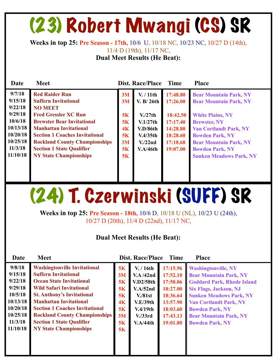### (23) Robert Mwangi (CS) SR

**Weeks in top 25: Pre Season - 17th,** 10/6 U, 10/18 NC, 10/23 NC, 10/27 D (14th),

11/4 D (19th), 11/17 NC,

**Dual Meet Results (He Beat):** 

| Date                                                                                                          | <b>Meet</b>                                                                                                                                                                                                                                                                                                                       |                                                    | <b>Dist. Race/Place</b>                                                                                                | <b>Time</b>                                                                                  | <b>Place</b>                                                                                                                                                                                                                                                             |
|---------------------------------------------------------------------------------------------------------------|-----------------------------------------------------------------------------------------------------------------------------------------------------------------------------------------------------------------------------------------------------------------------------------------------------------------------------------|----------------------------------------------------|------------------------------------------------------------------------------------------------------------------------|----------------------------------------------------------------------------------------------|--------------------------------------------------------------------------------------------------------------------------------------------------------------------------------------------------------------------------------------------------------------------------|
| 9/7/18<br>9/15/18<br>9/22/18<br>9/29/18<br>10/6/18<br>10/13/18<br>10/20/18<br>10/25/18<br>11/3/18<br>11/10/18 | <b>Red Raider Run</b><br><b>Suffern Invitational</b><br><b>NO MEET</b><br><b>Fred Gressler XC Run</b><br><b>Brewster Bear Invitational</b><br><b>Manhattan Invitational</b><br><b>Section 1 Coaches Invitational</b><br><b>Rockland County Championships</b><br><b>Section 1 State Qualifier</b><br><b>NY State Championships</b> | 3M<br>3M<br>5K<br>5K<br>4K<br>5K<br>3M<br>5K<br>5K | V. / 11th<br>V. B/26th<br>V <sub>1</sub> /27th<br>V.1/27th<br>V.D/86th<br>V.4/35th<br>V <sub>1</sub> /22nd<br>V.A/46th | 17:48.80<br>17:26.00<br>18:42.50<br>17:17.40<br>14:28.80<br>18:28.60<br>17:18.68<br>19:07.00 | <b>Bear Mountain Park, NY</b><br><b>Bear Mountain Park, NY</b><br><b>White Plains, NY</b><br><b>Brewster, NY</b><br><b>Van Cortlandt Park, NY</b><br><b>Bowden Park, NY</b><br><b>Bear Mountain Park, NY</b><br><b>Bowden Park, NY</b><br><b>Sunken Meadows Park, NY</b> |
|                                                                                                               |                                                                                                                                                                                                                                                                                                                                   |                                                    |                                                                                                                        |                                                                                              |                                                                                                                                                                                                                                                                          |

### (24) T. Czerwinski (SUFF) SR

**Weeks in top 25: Pre Season - 18th,** 10/6 D, 10/18 U (NL), 10/23 U (24th), 10/27 D (20th), 11/4 D (22nd), 11/17 NC,

| Date     | <b>Meet</b>                           |                | <b>Dist. Race/Place</b> | <b>Time</b> | <b>Place</b>                      |
|----------|---------------------------------------|----------------|-------------------------|-------------|-----------------------------------|
| 9/8/18   | <b>Washingtonville Invitational</b>   | 5K             | V. / 16th               | 17:15.96    | <b>Washingtonville, NY</b>        |
| 9/15/18  | <b>Suffern Invitational</b>           | 3M             | V.A/42nd                | 17:52.10    | <b>Bear Mountain Park, NY</b>     |
| 9/22/18  | <b>Ocean State Invitational</b>       | 5K             | V.D2/58th               | 17:50.06    | <b>Goddard Park, Rhode Island</b> |
| 9/29/18  | <b>Wild Safari Invitational</b>       | 5K             | V.A/52nd                | 18:27.00    | <b>Six Flags, Jackson, NJ</b>     |
| 10/5/18  | <b>St. Anthony's Invitational</b>     | 5K             | V. / 81st               | 18:36.64    | <b>Sunken Meadows Park, NY</b>    |
| 10/13/18 | <b>Manhattan Invitational</b>         | 4 <sub>K</sub> | V.E/39th                | 13:57.90    | <b>Van Cortlandt Park, NY</b>     |
| 10/20/18 | <b>Section 1 Coaches Invitational</b> | 5K             | V.4/19th                | 18:03.60    | <b>Bowden Park, NY</b>            |
| 10/25/18 | <b>Rockland County Championships</b>  | 3M             | V. / 33rd               | 17:43.13    | <b>Bear Mountain Park, NY</b>     |
| 11/3/18  | <b>Section 1 State Qualifier</b>      | 5K             | V.A/44th                | 19:01.80    | <b>Bowden Park, NY</b>            |
| 11/10/18 | <b>NY State Championships</b>         | 5K             |                         |             |                                   |
|          |                                       |                |                         |             |                                   |
|          |                                       |                |                         |             |                                   |
|          |                                       |                |                         |             |                                   |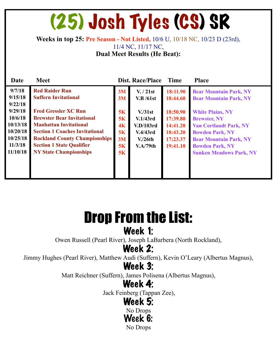### (25) Josh Tyles (CS) SR

**Weeks in top 25: Pre Season - Not Listed,** 10/6 U, 10/18 NC, 10/23 D (23rd),

11/4 NC, 11/17 NC,

**Dual Meet Results (He Beat):** 

| Date     | <b>Meet</b>                           |    | <b>Dist. Race/Place</b> | <b>Time</b> | <b>Place</b>                   |
|----------|---------------------------------------|----|-------------------------|-------------|--------------------------------|
| 9/7/18   | <b>Red Raider Run</b>                 | 3M | V. / 21st               | 18:11.90    | <b>Bear Mountain Park, NY</b>  |
| 9/15/18  | <b>Suffern Invitational</b>           | 3M | V.B/61st                | 18:44.60    | <b>Bear Mountain Park, NY</b>  |
| 9/22/18  |                                       |    |                         |             |                                |
| 9/29/18  | <b>Fred Gressler XC Run</b>           | 5K | V <sub>1</sub> /31st    | 18:50.90    | <b>White Plains, NY</b>        |
| 10/6/18  | <b>Brewster Bear Invitational</b>     | 5K | V.1/43rd                | 17:39.80    | <b>Brewster, NY</b>            |
| 10/13/18 | <b>Manhattan Invitational</b>         | 4K | V.D/103rd               | 14:41.20    | <b>Van Cortlandt Park, NY</b>  |
| 10/20/18 | <b>Section 1 Coaches Invitational</b> | 5K | V.4/43rd                | 18:43.20    | <b>Bowden Park, NY</b>         |
| 10/25/18 | <b>Rockland County Championships</b>  | 3M | V <sub>1</sub> /26th    | 17:23.37    | <b>Bear Mountain Park, NY</b>  |
| 11/3/18  | <b>Section 1 State Qualifier</b>      | 5K | V.A/79th                | 19:41.10    | <b>Bowden Park, NY</b>         |
| 11/10/18 | <b>NY State Championships</b>         | 5K |                         |             | <b>Sunken Meadows Park, NY</b> |
|          |                                       |    |                         |             |                                |
|          |                                       |    |                         |             |                                |
|          |                                       |    |                         |             |                                |

### Drop From the List: Week 1:

Owen Russell (Pearl River), Joseph LaBarbera (North Rockland),

### Week 2:

Jimmy Hughes (Pearl River), Matthew Audi (Suffern), Kevin O'Leary (Albertus Magnus),

### Week 3:

Matt Reichner (Suffern), James Polisena (Albertus Magnus),

### Week 4:

Jack Feinberg (Tappan Zee),

### Week 5:

No Drops

Week 6: No Drops